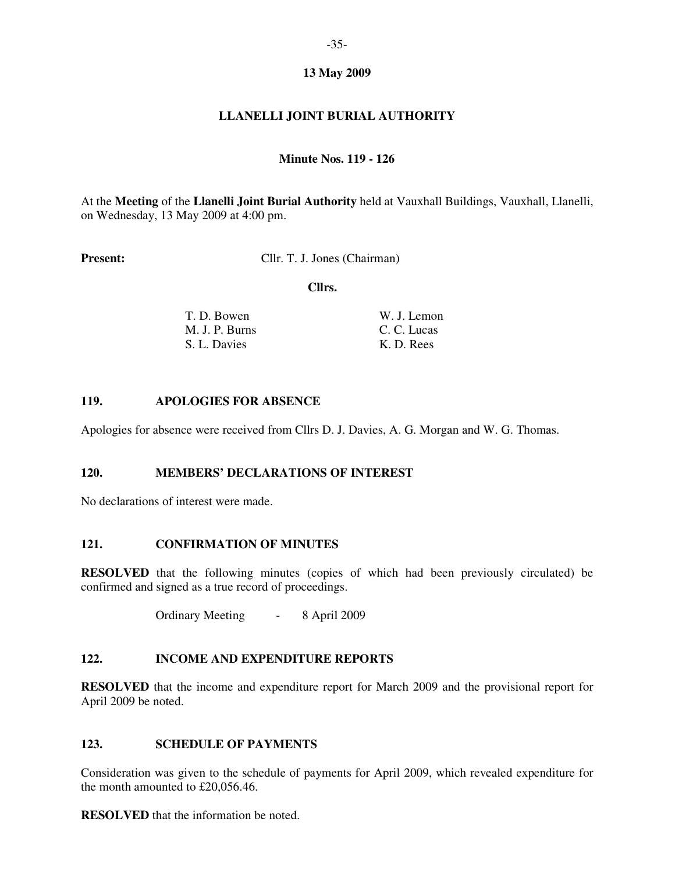## **13 May 2009**

# **LLANELLI JOINT BURIAL AUTHORITY**

## **Minute Nos. 119 - 126**

At the **Meeting** of the **Llanelli Joint Burial Authority** held at Vauxhall Buildings, Vauxhall, Llanelli, on Wednesday, 13 May 2009 at 4:00 pm.

**Present:** Cllr. T. J. Jones (Chairman)

 **Cllrs.** 

| T. D. Bowen    | W. J. Lemon |
|----------------|-------------|
| M. J. P. Burns | C. C. Lucas |
| S. L. Davies   | K. D. Rees  |

### **119. APOLOGIES FOR ABSENCE**

Apologies for absence were received from Cllrs D. J. Davies, A. G. Morgan and W. G. Thomas.

## **120. MEMBERS' DECLARATIONS OF INTEREST**

No declarations of interest were made.

### **121. CONFIRMATION OF MINUTES**

**RESOLVED** that the following minutes (copies of which had been previously circulated) be confirmed and signed as a true record of proceedings.

Ordinary Meeting - 8 April 2009

### **122. INCOME AND EXPENDITURE REPORTS**

**RESOLVED** that the income and expenditure report for March 2009 and the provisional report for April 2009 be noted.

## **123. SCHEDULE OF PAYMENTS**

Consideration was given to the schedule of payments for April 2009, which revealed expenditure for the month amounted to £20,056.46.

**RESOLVED** that the information be noted.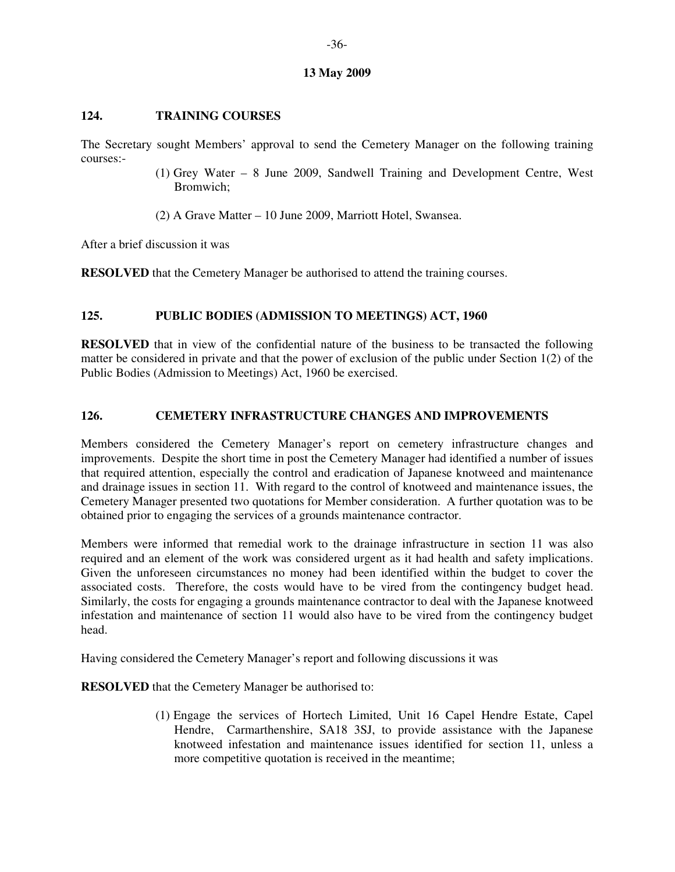#### **13 May 2009**

## **124. TRAINING COURSES**

The Secretary sought Members' approval to send the Cemetery Manager on the following training courses:-

- (1) Grey Water 8 June 2009, Sandwell Training and Development Centre, West Bromwich;
- (2) A Grave Matter 10 June 2009, Marriott Hotel, Swansea.

After a brief discussion it was

**RESOLVED** that the Cemetery Manager be authorised to attend the training courses.

## **125. PUBLIC BODIES (ADMISSION TO MEETINGS) ACT, 1960**

**RESOLVED** that in view of the confidential nature of the business to be transacted the following matter be considered in private and that the power of exclusion of the public under Section 1(2) of the Public Bodies (Admission to Meetings) Act, 1960 be exercised.

## **126. CEMETERY INFRASTRUCTURE CHANGES AND IMPROVEMENTS**

Members considered the Cemetery Manager's report on cemetery infrastructure changes and improvements. Despite the short time in post the Cemetery Manager had identified a number of issues that required attention, especially the control and eradication of Japanese knotweed and maintenance and drainage issues in section 11. With regard to the control of knotweed and maintenance issues, the Cemetery Manager presented two quotations for Member consideration. A further quotation was to be obtained prior to engaging the services of a grounds maintenance contractor.

Members were informed that remedial work to the drainage infrastructure in section 11 was also required and an element of the work was considered urgent as it had health and safety implications. Given the unforeseen circumstances no money had been identified within the budget to cover the associated costs. Therefore, the costs would have to be vired from the contingency budget head. Similarly, the costs for engaging a grounds maintenance contractor to deal with the Japanese knotweed infestation and maintenance of section 11 would also have to be vired from the contingency budget head.

Having considered the Cemetery Manager's report and following discussions it was

**RESOLVED** that the Cemetery Manager be authorised to:

(1) Engage the services of Hortech Limited, Unit 16 Capel Hendre Estate, Capel Hendre, Carmarthenshire, SA18 3SJ, to provide assistance with the Japanese knotweed infestation and maintenance issues identified for section 11, unless a more competitive quotation is received in the meantime;